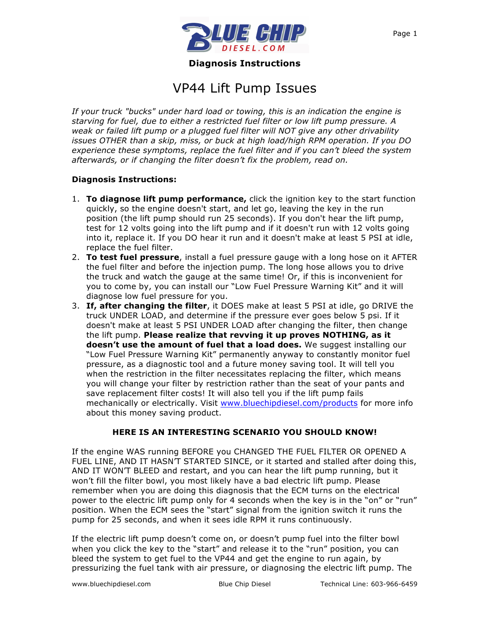

**Diagnosis Instructions**

# VP44 Lift Pump Issues

*If your truck "bucks" under hard load or towing, this is an indication the engine is starving for fuel, due to either a restricted fuel filter or low lift pump pressure. A weak or failed lift pump or a plugged fuel filter will NOT give any other drivability issues OTHER than a skip, miss, or buck at high load/high RPM operation. If you DO experience these symptoms, replace the fuel filter and if you can't bleed the system afterwards, or if changing the filter doesn't fix the problem, read on.*

### **Diagnosis Instructions:**

- 1. **To diagnose lift pump performance,** click the ignition key to the start function quickly, so the engine doesn't start, and let go, leaving the key in the run position (the lift pump should run 25 seconds). If you don't hear the lift pump, test for 12 volts going into the lift pump and if it doesn't run with 12 volts going into it, replace it. If you DO hear it run and it doesn't make at least 5 PSI at idle, replace the fuel filter.
- 2. **To test fuel pressure**, install a fuel pressure gauge with a long hose on it AFTER the fuel filter and before the injection pump. The long hose allows you to drive the truck and watch the gauge at the same time! Or, if this is inconvenient for you to come by, you can install our "Low Fuel Pressure Warning Kit" and it will diagnose low fuel pressure for you.
- 3. **If, after changing the filter**, it DOES make at least 5 PSI at idle, go DRIVE the truck UNDER LOAD, and determine if the pressure ever goes below 5 psi. If it doesn't make at least 5 PSI UNDER LOAD after changing the filter, then change the lift pump. **Please realize that revving it up proves NOTHING, as it doesn't use the amount of fuel that a load does.** We suggest installing our "Low Fuel Pressure Warning Kit" permanently anyway to constantly monitor fuel pressure, as a diagnostic tool and a future money saving tool. It will tell you when the restriction in the filter necessitates replacing the filter, which means you will change your filter by restriction rather than the seat of your pants and save replacement filter costs! It will also tell you if the lift pump fails mechanically or electrically. Visit www.bluechipdiesel.com/products for more info about this money saving product.

# **HERE IS AN INTERESTING SCENARIO YOU SHOULD KNOW!**

If the engine WAS running BEFORE you CHANGED THE FUEL FILTER OR OPENED A FUEL LINE, AND IT HASN'T STARTED SINCE, or it started and stalled after doing this, AND IT WON'T BLEED and restart, and you can hear the lift pump running, but it won't fill the filter bowl, you most likely have a bad electric lift pump. Please remember when you are doing this diagnosis that the ECM turns on the electrical power to the electric lift pump only for 4 seconds when the key is in the "on" or "run" position. When the ECM sees the "start" signal from the ignition switch it runs the pump for 25 seconds, and when it sees idle RPM it runs continuously.

If the electric lift pump doesn't come on, or doesn't pump fuel into the filter bowl when you click the key to the "start" and release it to the "run" position, you can bleed the system to get fuel to the VP44 and get the engine to run again, by pressurizing the fuel tank with air pressure, or diagnosing the electric lift pump. The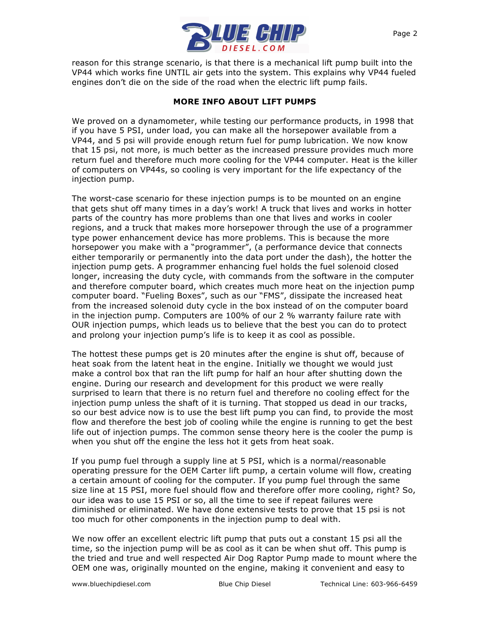

reason for this strange scenario, is that there is a mechanical lift pump built into the VP44 which works fine UNTIL air gets into the system. This explains why VP44 fueled engines don't die on the side of the road when the electric lift pump fails.

## **MORE INFO ABOUT LIFT PUMPS**

We proved on a dynamometer, while testing our performance products, in 1998 that if you have 5 PSI, under load, you can make all the horsepower available from a VP44, and 5 psi will provide enough return fuel for pump lubrication. We now know that 15 psi, not more, is much better as the increased pressure provides much more return fuel and therefore much more cooling for the VP44 computer. Heat is the killer of computers on VP44s, so cooling is very important for the life expectancy of the injection pump.

The worst-case scenario for these injection pumps is to be mounted on an engine that gets shut off many times in a day's work! A truck that lives and works in hotter parts of the country has more problems than one that lives and works in cooler regions, and a truck that makes more horsepower through the use of a programmer type power enhancement device has more problems. This is because the more horsepower you make with a "programmer", (a performance device that connects either temporarily or permanently into the data port under the dash), the hotter the injection pump gets. A programmer enhancing fuel holds the fuel solenoid closed longer, increasing the duty cycle, with commands from the software in the computer and therefore computer board, which creates much more heat on the injection pump computer board. "Fueling Boxes", such as our "FMS", dissipate the increased heat from the increased solenoid duty cycle in the box instead of on the computer board in the injection pump. Computers are 100% of our 2 % warranty failure rate with OUR injection pumps, which leads us to believe that the best you can do to protect and prolong your injection pump's life is to keep it as cool as possible.

The hottest these pumps get is 20 minutes after the engine is shut off, because of heat soak from the latent heat in the engine. Initially we thought we would just make a control box that ran the lift pump for half an hour after shutting down the engine. During our research and development for this product we were really surprised to learn that there is no return fuel and therefore no cooling effect for the injection pump unless the shaft of it is turning. That stopped us dead in our tracks, so our best advice now is to use the best lift pump you can find, to provide the most flow and therefore the best job of cooling while the engine is running to get the best life out of injection pumps. The common sense theory here is the cooler the pump is when you shut off the engine the less hot it gets from heat soak.

If you pump fuel through a supply line at 5 PSI, which is a normal/reasonable operating pressure for the OEM Carter lift pump, a certain volume will flow, creating a certain amount of cooling for the computer. If you pump fuel through the same size line at 15 PSI, more fuel should flow and therefore offer more cooling, right? So, our idea was to use 15 PSI or so, all the time to see if repeat failures were diminished or eliminated. We have done extensive tests to prove that 15 psi is not too much for other components in the injection pump to deal with.

We now offer an excellent electric lift pump that puts out a constant 15 psi all the time, so the injection pump will be as cool as it can be when shut off. This pump is the tried and true and well respected Air Dog Raptor Pump made to mount where the OEM one was, originally mounted on the engine, making it convenient and easy to